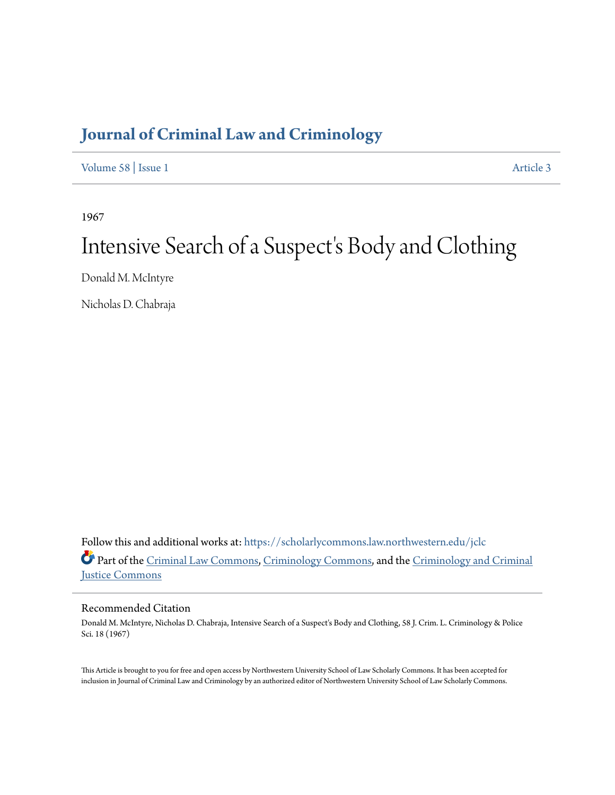# **[Journal of Criminal Law and Criminology](https://scholarlycommons.law.northwestern.edu/jclc?utm_source=scholarlycommons.law.northwestern.edu%2Fjclc%2Fvol58%2Fiss1%2F3&utm_medium=PDF&utm_campaign=PDFCoverPages)**

[Volume 58](https://scholarlycommons.law.northwestern.edu/jclc/vol58?utm_source=scholarlycommons.law.northwestern.edu%2Fjclc%2Fvol58%2Fiss1%2F3&utm_medium=PDF&utm_campaign=PDFCoverPages) | [Issue 1](https://scholarlycommons.law.northwestern.edu/jclc/vol58/iss1?utm_source=scholarlycommons.law.northwestern.edu%2Fjclc%2Fvol58%2Fiss1%2F3&utm_medium=PDF&utm_campaign=PDFCoverPages) [Article 3](https://scholarlycommons.law.northwestern.edu/jclc/vol58/iss1/3?utm_source=scholarlycommons.law.northwestern.edu%2Fjclc%2Fvol58%2Fiss1%2F3&utm_medium=PDF&utm_campaign=PDFCoverPages)

1967

# Intensive Search of a Suspect's Body and Clothing

Donald M. McIntyre

Nicholas D. Chabraja

Follow this and additional works at: [https://scholarlycommons.law.northwestern.edu/jclc](https://scholarlycommons.law.northwestern.edu/jclc?utm_source=scholarlycommons.law.northwestern.edu%2Fjclc%2Fvol58%2Fiss1%2F3&utm_medium=PDF&utm_campaign=PDFCoverPages) Part of the [Criminal Law Commons](http://network.bepress.com/hgg/discipline/912?utm_source=scholarlycommons.law.northwestern.edu%2Fjclc%2Fvol58%2Fiss1%2F3&utm_medium=PDF&utm_campaign=PDFCoverPages), [Criminology Commons](http://network.bepress.com/hgg/discipline/417?utm_source=scholarlycommons.law.northwestern.edu%2Fjclc%2Fvol58%2Fiss1%2F3&utm_medium=PDF&utm_campaign=PDFCoverPages), and the [Criminology and Criminal](http://network.bepress.com/hgg/discipline/367?utm_source=scholarlycommons.law.northwestern.edu%2Fjclc%2Fvol58%2Fiss1%2F3&utm_medium=PDF&utm_campaign=PDFCoverPages) [Justice Commons](http://network.bepress.com/hgg/discipline/367?utm_source=scholarlycommons.law.northwestern.edu%2Fjclc%2Fvol58%2Fiss1%2F3&utm_medium=PDF&utm_campaign=PDFCoverPages)

# Recommended Citation

Donald M. McIntyre, Nicholas D. Chabraja, Intensive Search of a Suspect's Body and Clothing, 58 J. Crim. L. Criminology & Police Sci. 18 (1967)

This Article is brought to you for free and open access by Northwestern University School of Law Scholarly Commons. It has been accepted for inclusion in Journal of Criminal Law and Criminology by an authorized editor of Northwestern University School of Law Scholarly Commons.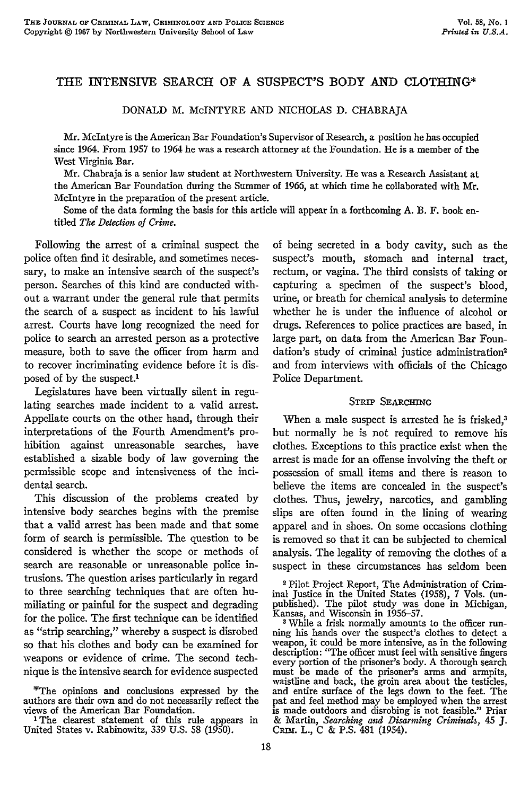## THE INTENSIVE SEARCH OF A SUSPECT'S BODY AND CLOTHING\*

DONALD M. McINTYRE AND NICHOLAS D. CHABRAJA

Mr. McIntyre is the American Bar Foundation's Supervisor of Research, a position he has occupied since 1964. From 1957 to 1964 he was a research attorney at the Foundation. He is a member of the West Virginia Bar.

Mr. Chabraja is a senior law student at Northwestern University. He was a Research Assistant at the American Bar Foundation during the Summer of 1966, at which time he collaborated with Mr. McIntyre in the preparation of the present article.

Some of the data forming the basis for this article will appear in a forthcoming A. B. F. book entitled *The Detection of Crime*.

Following the arrest of a criminal suspect the police often find it desirable, and sometimes necessary, to make an intensive search of the suspect's person. Searches of this kind are conducted without a warrant under the general rule that permits the search of a suspect as incident to his lawful arrest. Courts have long recognized the need for police to search an arrested person as a protective measure, both to save the officer from harm and to recover incriminating evidence before it is disposed of by the suspect.'

Legislatures have been virtually silent in regulating searches made incident to a valid arrest. Appellate courts on the other hand, through their interpretations of the Fourth Amendment's prohibition against unreasonable searches, have established a sizable body of law governing the permissible scope and intensiveness of the incidental search.

This discussion of the problems created by intensive body searches begins with the premise that a valid arrest has been made and that some form of search is permissible. The question to be considered is whether the scope or methods of search are reasonable or unreasonable police intrusions. The question arises particularly in regard to three searching techniques that are often humiliating or painful for the suspect and degrading for the police. The first technique can be identified as "strip searching," whereby a suspect is disrobed so that his clothes and body can be examined for weapons or evidence of crime. The second technique is the intensive search for evidence suspected

of being secreted in a body cavity, such as the suspect's mouth, stomach and internal tract, rectum, or vagina. The third consists of taking or capturing a specimen of the suspect's blood, urine, or breath for chemical analysis to determine whether he is under the influence of alcohol or drugs. References to police practices are based, in large part, on data from the American Bar Foundation's study of criminal justice administration and from interviews with officials of the Chicago Police Department.

#### **STRIP** SEARCHING

When a male suspect is arrested he is frisked,<sup>3</sup> but normally he is not required to remove his clothes. Exceptions to this practice exist when the arrest is made for an offense involving the theft or possession of small items and there is reason to believe the items are concealed in the suspect's clothes. Thus, jewelry, narcotics, and gambling slips are often found in the lining of wearing apparel and in shoes. On some occasions clothing is removed so that it can be subjected to chemical analysis. The legality of removing the clothes of a suspect in these circumstances has seldom been

2 Pilot Project Report, The Administration of Criminal Justice in the United States (1958), 7 Vols. (un- published). The pilot study was done in Michigan, published). The pilot study was done in Michigan, Kansas, and Wisconsin in 1956-57.<br><sup>8</sup> While a frisk normally amounts to the officer run-

ning his hands over the suspect's clothes to detect a weapon, it could be more intensive, as in the following description: "The officer must feel with sensitive fingers every portion of the prisoner's body. A thorough search must be made of the prisoner's arms and armpits, waistline and back, the groin area about the testicles, and entire surface of the legs down to the feet. The pat and feel method may be employed when the arrest is made outdoors and disrobing is not feasible." Priar & Martin, *Searching and Disarming Criminals,* 45 **J.** Cmu. L., C & P.S. 481 (1954).

<sup>\*</sup>The opinions and conclusions expressed by the authors are their own and do not necessarily reflect the views of the American Bar Foundation.

The clearest statement of this rule appears in United States v. Rabinowitz, 339 U.S. 58 (1950).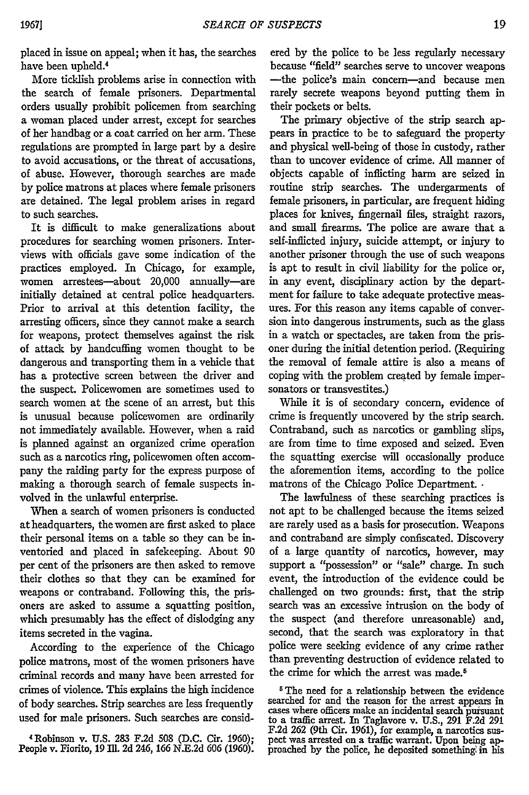placed in issue on appeal; when it has, the searches have been upheld.4

More ticklish problems arise in connection with the search of female prisoners. Departmental orders usually prohibit policemen from searching a woman placed under arrest, except for searches of her handbag or a coat carried on her arm. These regulations are prompted in large part by a desire to avoid accusations, or the threat of accusations, of abuse. However, thorough searches are made by police matrons at places where female prisoners are detained. The legal problem arises in regard to such searches.

It is difficult to make generalizations about procedures for searching women prisoners. Interviews with officials gave some indication of the practices employed. In Chicago, for example, women arrestees-about 20,000 annually-are initially detained at central police headquarters. Prior to arrival at this detention facility, the arresting officers, since they cannot make a search for weapons, protect themselves against the risk of attack by handcuffing women thought to be dangerous and transporting them in a vehicle that has a protective screen between the driver and the suspect. Policewomen are sometimes used to search women at the scene of an arrest, but this is unusual because policewomen are ordinarily not immediately available. However, when a raid is planned against an organized crime operation such as a narcotics ring, policewomen often accompany the raiding party for the express purpose of making a thorough search of female suspects involved in the unlawful enterprise.

When a search of women prisoners is conducted at headquarters, the women are first asked to place their personal items on a table so they can be inventoried and placed in safekeeping. About 90 per cent of the prisoners are then asked to remove their clothes so that they can be examined for weapons or contraband. Following this, the prisoners are asked to assume a squatting position, which presumably has the effect of dislodging any items secreted in the vagina.

According to the experience of the Chicago police matrons, most of the women prisoners have criminal records and many have been arrested for crimes of violence. This explains the high incidence of body searches. Strip searches are less frequently used for male prisoners. Such searches are consid-

4 Robinson v. **U.S. 283 F.2d 508 (D.C.** Cir. **1960);** People v. Fiorito, 19 **Ill. 2d** 246, 166 **N.E.2d** 606 (1960). ered by the police to be less regularly necessary because "field" searches serve to uncover weapons -the police's main concern-and because men rarely secrete weapons beyond putting them in their pockets or belts.

The primary objective of the strip search appears in practice to be to safeguard the property and physical well-being of those in custody, rather than to uncover evidence of crime. All manner of objects capable of inflicting harm are seized in routine strip searches. The undergarments of female prisoners, in particular, are frequent hiding places for knives, fingernail files, straight razors, and small firearms. The police are aware that a self-inflicted injury, suicide attempt, or injury to another prisoner through the use of such weapons is apt to result in civil liability for the police or, in any event, disciplinary action by the department for failure to take adequate protective measures. For this reason any items capable of conversion into dangerous instruments, such as the glass in a watch or spectacles, are taken from the prisoner during the initial detention period. (Requiring the removal of female attire is also a means of coping with the problem created **by** female impersonators or transvestites.)

While it is of secondary concern, evidence of crime is frequently uncovered by the strip search. Contraband, such as narcotics or gambling slips, are from time to time exposed and seized. Even the squatting exercise will occasionally produce the aforemention items, according to the police matrons of the Chicago Police Department. .

The lawfulness of these searching practices is not apt to be challenged because the items seized are rarely used as a basis for prosecution. Weapons and contraband are simply confiscated. Discovery of a large quantity of narcotics, however, may support a "possession" or "sale" charge. In such event, the introduction of the evidence could be challenged on two grounds: first, that the strip search was an excessive intrusion on the body of the suspect (and therefore unreasonable) and, second, that the search was exploratory in that police were seeking evidence of any crime rather than preventing destruction of evidence related to the crime for which the arrest was made.<sup>5</sup>

<sup>5</sup>The need for a relationship between the evidence searched for and the reason for the arrest appears in cases where officers make an incidental search puisuant to a traffic arrest. In Taglavore v. U.S., **291** F.2d 291 F.2d 262 (9th Cir. 1961), for example, a narcotics sus-<br>pect was arrested on a traffic warrant. Upon being ap-<br>proached by the police, he deposited something in his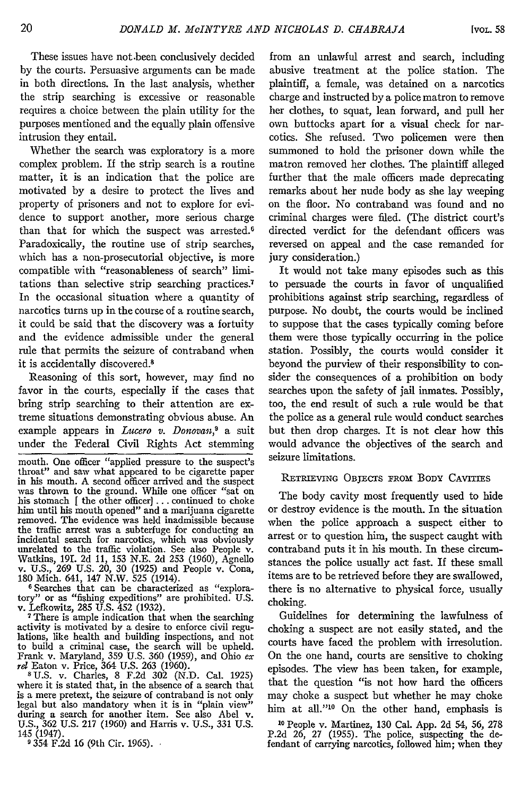These issues have not .been conclusively decided by the courts. Persuasive arguments can be made in both directions. In the last analysis, whether the strip searching is excessive or reasonable requires a choice between the plain utility for the purposes mentioned and the equally plain offensive intrusion they entail.

Whether the search was exploratory is a more complex problem. If the strip search is a routine matter, it is an indication that the police are motivated by a desire to protect the lives and property of prisoners and not to explore for evidence to support another, more serious charge than that for which the suspect was arrested.6 Paradoxically, the routine use of strip searches, which has a non-prosecutorial objective, is more compatible with "reasonableness of search" limitations than selective strip searching practices.<sup>7</sup> In the occasional situation where a quantity of narcotics turns up in the course of a routine search, it could be said that the discovery was a fortuity and the evidence admissible under the general rule that permits the seizure of contraband when it is accidentally discovered.8

Reasoning of this sort, however, may find no favor in the courts, especially if the cases that bring strip searching to their attention are extreme situations demonstrating obvious abuse. An example appears in *Lucero v. Donovan,9* a suit under the Federal Civil Rights Act stemming

mouth. One officer "applied pressure to the suspect's throat" and saw what appeared to be cigarette paper in his mouth. A second officer arrived and the suspect was thrown to the ground. While one officer "sat on his stomach [ the other officer] . . continued to choke him until his mouth opened" and a marijuana cigarette removed. The evidence was held inadmissible because the traffic arrest was a subterfuge for conducting an incidental search for narcotics, which was obviously unrelated to the traffic violation. See also People v. Watkins, 191. 2d 11, 153 N.E. 2d 253 (1960), Agnello<br>v. U.S., 269 U.S. 20, 30 (1925) and People v. Cona,<br>180 Mich. 641, 147 N.W. 525 (1914).

<sup>6</sup> Searches that can be characterized as "exploratory" or as "fishing expeditions" are prohibited. U.S. v. Lefkowitz, 285 U.S. 452 (1932). <sup>7</sup> There is ample indication that when the searching

activity is motivated by a desire to enforce civil regulations, like health and building inspections, and not to build a criminal case, the search will be upheld. Frank v. Maryland, 359 U.S. 360 (1959), and Ohio *ex* rd Eaton v. Price, 364 U.S. 263 (1960).

**8 U.S.** v. Charles, 8 F.2d 302 (N.D. Cal. 1925) where it is stated that, in the absence of a search that is a mere pretext, the seizure of contraband is not only legal but also mandatory when it is in "plain view" during a search for another item. See also Abel v. U.S., 362 **U.S.** 217 (1960) and Harris v. U.S., 331 U.S. 145 (1947). 1354 F.2d 16 (9th Cir. 1965).

from an unlawful arrest and search, including abusive treatment at the police station. The plaintiff, a female, was detained on a narcotics charge and instructed by a police matron to remove her clothes, to squat, lean forward, and pull her own buttocks apart for a visual check for narcotics. She refused. Two policemen were then summoned to hold the prisoner down while the matron removed her clothes. The plaintiff alleged further that the male officers made deprecating remarks about her nude body as she lay weeping on the floor. No contraband was found and no criminal charges were filed. (The district court's directed verdict for the defendant officers was reversed on appeal and the case remanded for jury consideration.)

It would not take many episodes such as this to persuade the courts in favor of unqualified prohibitions against strip searching, regardless of purpose. No doubt, the courts would be inclined to suppose that the cases typically coming before them were those typically occurring in the police station. Possibly, the courts would consider it beyond the purview of their responsibility to consider the consequences of a prohibition on body searches upon the safety of jail inmates. Possibly, too, the end result of such a rule would be that the police as a general rule would conduct searches but then drop charges. It is not clear how this would advance the objectives of the search and seizure limitations.

#### RETRIEVING OBJECTS FROm BODY CAVITIES

The body cavity most frequently used to hide or destroy evidence is the mouth. In the situation when the police approach a suspect either to arrest or to question him, the suspect caught with contraband puts it in his mouth. In these circumstances the police usually act fast. If these small items are to be retrieved before they are swallowed, there is no alternative to physical force, usually choking.

Guidelines for determining the lawfulness of choking a suspect are not easily stated, and the courts have faced the problem with irresolution. On the one hand, courts are sensitive to choking episodes. The view has been taken, for example, that the question "is not how hard the officers may choke a suspect but whether he may choke him at all."<sup>10</sup> On the other hand, emphasis is

**10** People v. Martinez, 130 Cal. App. 2d 54, 56, 278 P.2d 26, 27 (1955). The police, suspecting the defendant of carrying narcotics, followed him; when they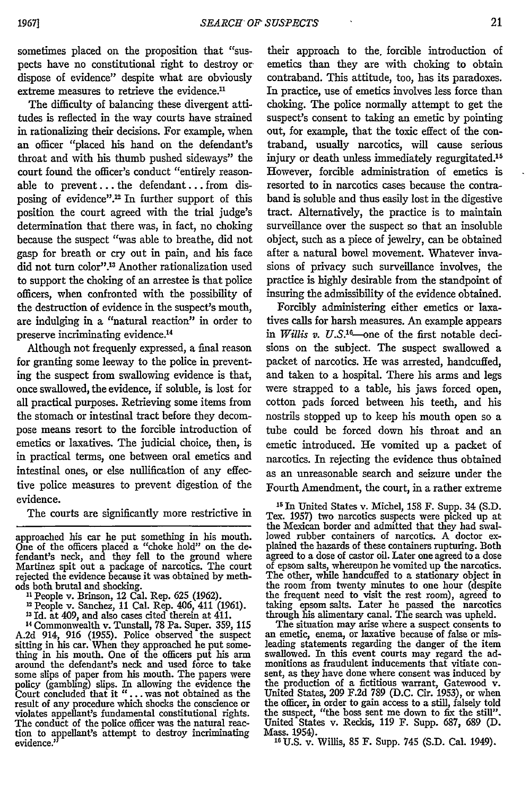sometimes placed on the proposition that "suspects have no constitutional right to destroy or dispose of evidence" despite what are obviously extreme measures to retrieve the evidence.<sup>11</sup>

The difficulty of balancing these divergent attitudes is reflected in the way courts have strained in rationalizing their decisions. For example, when an officer "placed his hand on the defendant's throat and with his thumb pushed sideways" the court found the officer's conduct "entirely reasonable to prevent.., the defendant **...** from disposing of evidence".<sup>12</sup> In further support of this position the court agreed with the trial judge's determination that there was, in fact, no choking because the suspect "was able to breathe, did not gasp for breath or cry out in pain, and his face did not turn color"." Another rationalization used to support the choking of an arrestee is that police officers, when confronted with the possibility of the destruction of evidence in the suspect's mouth, are indulging in a "natural reaction" in order to preserve incriminating evidence.<sup>14</sup>

Although not frequenly expressed, a final reason for granting some leeway to the police in preventing the suspect from swallowing evidence is that, once swallowed, the evidence, **if** soluble, is lost for all practical purposes. Retrieving some items from the stomach or intestinal tract before they decompose means resort to the forcible introduction of emetics or laxatives. The judicial choice, then, is in practical terms, one between oral emetics and intestinal ones, or else nullification of any effective police measures to prevent digestion of the evidence.

The courts are significantly more restrictive in

approached his car he put something in his mouth. One of the officers placed a "choke hold" on the *de-*fendant's neck, and they fell to the ground where Martinez spit out a package of narcotics. The court rejected the evidence because it was obtained **by** methods both brutal and shocking. **<sup>11</sup>**People v. Brinson, 12 Cal. Rep. 625 (1962).

**<sup>12</sup>**People v. Sanchez, 11 Cal. Rep. 406, 411 (1961).

<sup>13</sup>Id. at 409, and also cases cited therein at 411.

14 Commonwealth v. Tunstall, **78** Pa. Super. 359, 115 A.2d 914, 916 (1955). Police observed the suspect sitting in his car. When they approached he put something in his mouth. One of the officers put his arm around the defendant's neck and used force to take and some slips of poncy (gambing) sips. In anowing the evidence the<br>Court concluded that it "... was not obtained as the result of any procedure which shocks the conscience or violates appellant's fundamental constitutional rights. The conduct of the police officer was the natural reaction to appellant's attempt to destroy incriminating evidence."

their approach to the, forcible introduction of emetics than they are with choking to obtain contraband. This attitude, too, has its paradoxes. In practice, use of emetics involves less force than choking. The police normally attempt to get the suspect's consent to taking an emetic by pointing out, for example, that the toxic effect of the contraband, usually narcotics, will cause serious injury or death unless immediately regurgitated.<sup>15</sup> However, forcible administration of emetics is resorted to in narcotics cases because the contraband is soluble and thus easily lost in the digestive tract. Alternatively, the practice is to maintain surveillance over the suspect so that an insoluble object, such as a piece of jewelry, can be obtained after a natural bowel movement. Whatever invasions of privacy such surveillance involves, the practice is highly desirable from the standpoint of insuring the admissibility of the evidence obtained.

Forcibly administering either emetics or laxatives calls for harsh measures. An example appears in *Willis v. U.S.*<sup>16</sup> one of the first notable decisions on the subject. The suspect swallowed a packet of narcotics. He was arrested, handcuffed, and taken to a hospital. There his arms and legs were strapped to a table, his jaws forced open, cotton pads forced between his teeth, and his nostrils stopped up to keep his mouth open so a tube could be forced down his throat and an emetic introduced. He vomited up a packet of narcotics. In rejecting the evidence thus obtained as an unreasonable search and seizure under the Fourth Amendment, the court, in a rather extreme

**15** In United States v. Michel, 158 F. Supp. 34 (S.D. Tex. 1957) two narcotics suspects were picked up at the Mexican border and admitted that they had swallowed rubber containers of narcotics. A doctor ex- plained the hazards of these containers rupturing. Both agreed to a dose of castor oil. Later one agreed to a dose of epsom salts, whereupon he vomited up the narcotics. The other, while handcuffed to a stationary object in the room from twenty minutes to one hour (despite the frequent need to visit the rest room), agreed to taking epsom salts. Later he passed the narcotics

through his alimentary canal. The search was upheld. The situation may arise where a suspect consents to an emetic, enema, or laxative because of false or misan emetic, enema, or laxative because of false or mis-leading statements regarding the danger of the item swallowed. In this event courts may regard the ad-monitions as fraudulent inducements that vitiate consent, as they have done where consent was induced by United States, 209 F.2d **789** (D.C. Cir. 1953), or when the officer, in order to gain access to a still, falsely told the suspect, "the boss sent me down to fix the still". United States v. Reckis, **119** F. Supp. 687, **689 (D.** Mass. 1954).<br><sup>16</sup> U.S. v. Willis, 85 F. Supp. 745 (S.D. Cal. 1949).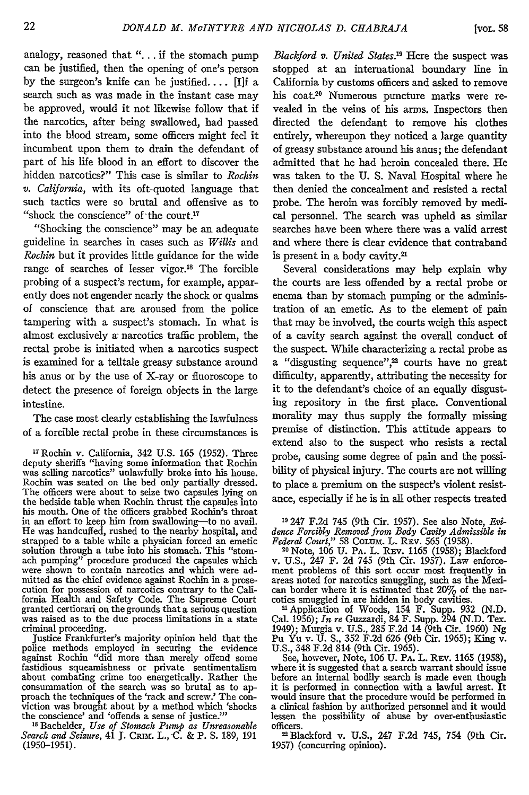analogy, reasoned that **". .** if the stomach pump can be justified, then the opening of one's person by the surgeon's knife can be justified.... [I]f a search such as was made in the instant case may be approved, would it not likewise follow that if the narcotics, after being swallowed, had passed into the blood stream, some officers might feel it incumbent upon them to drain the defendant of part of his life blood in an effort to discover the hidden narcotics?" This case is similar to *Rochin v. California,* with its oft-quoted language that such tactics were so brutal and offensive as to "shock the conscience" of the court.<sup>17</sup>

"Shocking the conscience" may be an adequate guideline in searches in cases such as *Willis* and *Rochin* but it provides little guidance for the wide range of searches of lesser vigor.'8 The forcible probing of a suspect's rectum, for example, apparently does not engender nearly the shock or qualms of conscience that are aroused from the police tampering with a suspect's stomach. In what is almost exclusively a: narcotics traffic problem, the rectal probe is initiated when a narcotics suspect is examined for a telltale greasy substance around his anus or by the use of X-ray or fluoroscope to detect the presence of foreign objects in the large intestine.

The case most clearly establishing the lawfulness of a forcible rectal probe in these circumstances is

Justice Frankfurter's majority opinion held that the police methods employed in securing the evidence against Rochin "did more than merely offend some fastidious squeamishness or private sentimentalism about combating crime too energetically. Rather the consummation of the search was so brutal as to approach the techniques of the 'rack and screw.' The con- viction was brought about by a method which 'shocks the conscience' and 'offends a sense of justice."'

**18** Bachelder, *Use of* Stomach *Pump as Unreasonable* Search *and Seizure,* 41 **J.** CRim. L., **C.** & P. **S.** 189, 191 (1950-1951).

*Blackford v. United States.5* Here the suspect was stopped at an international boundary line in California by customs officers and asked to remove his coat.<sup>20</sup> Numerous puncture marks were revealed in the veins of his arms. Inspectors then directed the defendant to remove his clothes entirely, whereupon they noticed a large quantity of greasy substance around his anus; the defendant admitted that he had heroin concealed there. He was taken to the U. S. Naval Hospital where he then denied the concealment and resisted a rectal probe. The heroin was forcibly removed by medical personnel. The search was upheld as similar searches have been where there was a valid arrest and where there is dear evidence that contraband is present in a body cavity.<sup>21</sup>

Several considerations may help explain why the courts are less offended by a rectal probe or enema than by stomach pumping or the administration of an emetic. As to the element of pain that may be involved, the courts weigh this aspect of a cavity search against the overall conduct of the suspect. While characterizing a rectal probe as a "disgusting sequence", $2$  courts have no great difficulty, apparently, attributing the necessity for it to the defendant's choice of an equally disgusting repository in the first place. Conventional morality may thus supply the formally missing premise of distinction. This attitude appears to extend also to the suspect who resists a rectal probe, causing some degree of pain and the possibility of physical injury. The courts are not willing to place a premium on the suspect's violent resistance, especially if he is in all other respects treated

**19** 247 F.2d 745 (9th Cir. 1957). See also Note, Evi*dence Forcibly Removed from Body Cavity Admissible in Federal Court,"* 58 CoLum. L. Rtv. 565 (1958). <sup>20</sup>Note, 106 U. **PA.** L. REv. 1165 (1958); Blackford

v. U.S., 247 F. 2d 745 (9th Cir. 1957). Law enforcement problems of this sort occur most frequently in areas noted for narcotics smuggling, such as the Mexi- can border where it is estimated that 20% of the nar-

<sup>21</sup> Application of Woods, 154 F. Supp. 932 (N.D. Cal. 1956); *In re* Guzzardi, 84 F. Supp. 294 (N.D. Tex. 1949); Murgia v. U.S., 285 F.2d 14 (9th Cir. 1960) Ng Pu Yu v. U. **S.,** 352 F.2d 626 (9th Cir. 1965); King v. U.S., 348 F.2d 814 (9th Cir. 1965).

See, however, Note, 106 U. PA. L. REv. 1165 (1958), where it is suggested that a search warrant should issue before an internal bodily search is made even though it is performed in connection with a lawful arrest. It would insure that the procedure would be performed in a clinical fashion **by** authorized personnel and it would lessen the possibility of abuse **by** over-enthusiastic officers.<br>2 Blackford v. U.S., 247 F.2d 745, 754 (9th Cir.

1957) (concurring opinion).

**<sup>1</sup> <sup>7</sup>**Rochin v. California, 342 U.S. 165 (1952). Three deputy sheriffs "having some information that Rochin was selling narcotics" unlawfully broke into his house. Rochin was seated on the bed only partially dressed. The officers were about to seize two capsules lying on the bedside table when Rochin thrust the capsules into the bedside table when Rochin thrust the capsules into his mouth. One of the officers grabbed Rochin's throat in an effort to keep him from swallowing—to no avail. He was handcuffed, rushed to the nearby hospital, and strapped to a table while a physician forced an emetic solution through a tube into his stomach. This "stomach pumping" procedure produced the capsules which were shown to contain narcotics and which were admitted as the chief evidence against Rochin in a prose- cution for possession of narcotics contrary to the California Health and Safety Code. The Supreme Court was raised as to the due process limitations in a state criminal proceeding.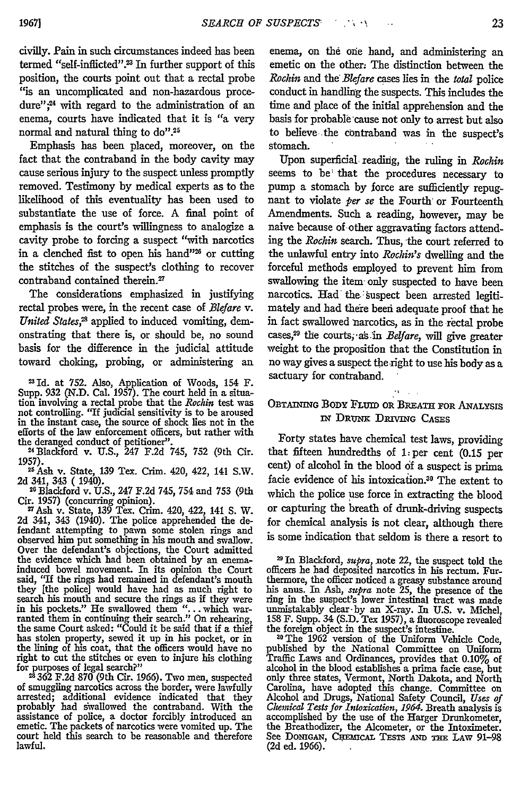civilly. Pain in such circumstances indeed has been termed "self-inflicted".<sup>23</sup> In further support of this position, the courts point out that a rectal probe **"is** an uncomplicated and non-hazardous procedure":<sup>24</sup> with regard to the administration of an enema, courts have indicated that it is "a very normal and natural thing to do".<sup>25</sup>

Emphasis has been placed, moreover, on the fact that the contraband in the body cavity may cause serious injury to the suspect unless promptly removed. Testimony by medical experts as to the likelihood of this eventuality has been used to substantiate the use of force. A final point of emphasis is the court's willingness to analogize a cavity probe to forcing a suspect "with narcotics in a clenched fist to open his hand"<sup>26</sup> or cutting the stitches of the suspect's clothing to recover contraband contained therein.<sup>27</sup>

The considerations emphasized in justifying rectal probes were, in the recent case of *Blefare v.* United *States,2* applied to induced vomiting, demonstrating that there is, or should be, no sound basis for the difference in the judicial attitude toward choking, probing, or administering an

 $23$  Id. at 752. Also, Application of Woods, 154 F. Supp. 932 (N.D. Cal. 1957). The court held in a situation involving a rectal probe that the *Rochin* test was not controlling. **'f** judicial sensitivity is to be aroused in the instant case, the source of shock lies not in the efforts of the law enforcement officers, but rather with the deranged conduct of petitioner".

21 Blackford v. U.S., 247 F.2d 745, 752 (9th Cir. 1957). **<sup>25</sup>**Ash v. State, 139 Tex. Crim. 420, 422, 141 S.W.

**2d** 341, 343 (1940). <sup>2</sup>

<sup>28</sup> Blackford v. U.S., 247 F.2d 745, 754 and 753 (9th Cir. 1957) (concurring opinion).

**<sup>2</sup>**Ash v. State, 139 Tex. Crim. 420, 422, 141 **S.** W. 2d 341, 343 (1940). The police apprehended the de-fendant attempting to pawn some stolen rings and observed him put something in his mouth and swallow. Over the defendant's objections, the Court admitted the evidence which had been obtained by an enema- induced bowel movement. In its opinion the Court induced bowel movement. In its opinion the Court said, "If the rings had remained in defendant's mouth they [the police] would have had as much right to search his mouth and secure the rings as if they were<br>in his pockets." He swallowed them "...which war-<br>ranted them in continuing their search." On rehearing,<br>the same Court asked: "Could it be said that if a thief has stolen property, sewed it up in his pocket, or in the lining of his coat, that the officers would have no the lining of his coat, that the officers would have no right to cut the stitches or even to injure his clothing for purposes of legal search?"

<sup>28</sup> 362 F.2d 870 (9th Cir. 1966). Two men, suspected of smuggling narcotics across the border, were lawfully arrested; additional evidence indicated that they probably had swallowed the contraband. With the assistance of police, a doctor forcibly introduced an emetic. The packets of narcotics were vomited up. The court held this search to **be** reasonable and therefore lawful.

enema, on the one hand, and administering an emetic on the other. The distinction between the *Rochin* and the *Blefare* cases lies in the *tola* police conduct in handling the suspects. This includes the time and place of the initial apprehension and the basis for probable cause not only to arrest but also to believe .the contraband was in the suspect's stomach.

Upon superficial reading, the ruling in *Rochin* seems to be' that the procedures necessary to pump a stomach by force are sufficiently repugnant to violate *per se* the Fourth or Fourteenth Amendments. Such a reading, however, may be naive because of other aggravating factors attending the *Rochin* search. Thus, "the court referred to the unlawful entry into *Rochin's* dwelling and the forceful methods employed to prevent him from swallowing the item only suspected to have been narcotics. Had the suspect been arrested legitimately and had there beeni adequate proof that he in fact swallowed narcotics, as in the rectal probe cases,<sup>29</sup> the courts, a's in *Belfare*, will give greater weight to the proposition that the Constitution in no way gives a suspect the right to use his body as a sactuary for contraband.

### **OBTAINNG** BODY **FLtUm** oR **BREATH FOR** ANALYsrs IN DRUNK DRIVING CASES

Forty states have chemical test laws, providing that fifteen hundredths of **1:** per cent (0.15 per cent) of alcohol in the blood of a suspect is prima facie evidence of his intoxication.<sup>30</sup> The extent to which the police use force in extracting the blood or capturing the breath of drunk-driving suspects for chemical analysis is not dear, although there is some indication that seldom is there a resort to

2 In Blackford, *supra,* note 22, the suspect told the officers he had deposited narcotics in his rectum. Furthermore, the officer noticed a greasy substance around his anus. In Ash, *supra* note 25, the presence of the ring in the suspect's lower intestinal tract was made unmistakably clear-by an X-ray. In U.S. v. Michel, 158 F. Supp. 34 (S.D. Tex 1957), a fluoroscope revealed the foreign object in the suspect's intestine.<br><sup>30</sup>The 1962 version of the Uniform Vehicle Code

published by the National Committee on Uniform Traffic Laws and Ordinances, provides that 0.10% of alcohol in the blood establishes a prima fade case, but only three states, Vermont, North Dakota, and North Carolina, have adopted this change. Committee on Alcohol and Drugs, National Safety Council, *Uses of* Chemical *Tests for Intoxication, 1964.* Breath analysis is accomplished by the use of the Harger Drunkometer, the Breathodizer, the Alcometer, or the Intoximeter. See DONIGAN, CHEMICAL TESTS AND THE LAW 91-98 (2d ed. 1966).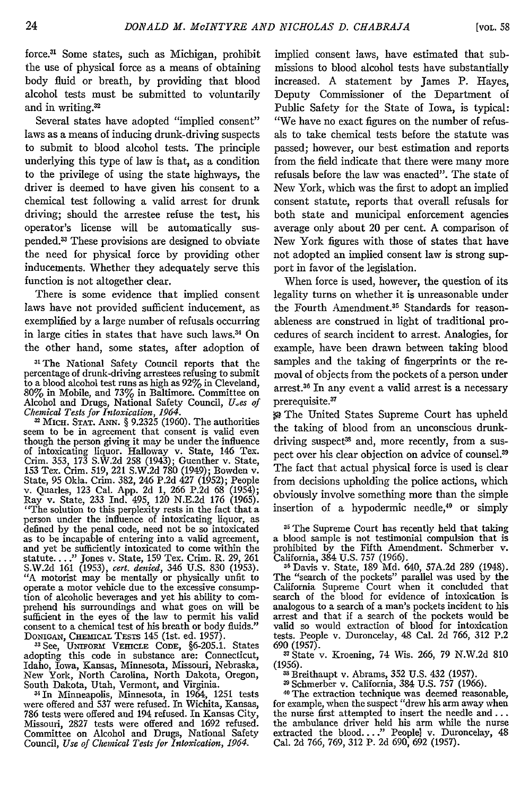force.<sup>31</sup> Some states, such as Michigan, prohibit the use of physical force as a means of obtaining body fluid or breath, by providing that blood alcohol tests must be submitted to voluntarily and in writing.32

Several states have adopted "implied consent" laws as a means of inducing drunk-driving suspects to submit to blood alcohol tests. The principle underlying this type of law is that, as a condition to the privilege of using the state highways, the driver is deemed to have given his consent to a chemical test following a valid arrest for drunk driving; should the arrestee refuse the test, his operator's license will be automatically suspended.<sup>33</sup> These provisions are designed to obviate the need for physical force by providing other inducements. Whether they adequately serve this function is not altogether clear.

There is some evidence that implied consent laws have not provided sufficient inducement, as exemplified by a large number of refusals occurring in large cities in states that have such laws.<sup>34</sup> On the other hand, some states, after adoption of

<sup>31</sup> The National Safety Council reports that the percentage of drunk-driving arrestees refusing to submit to a blood alcohol test runs as high as 92% in Cleveland, **80%** in Mobile, and 73% in Baltimore. Committee on Alcohol and Drugs, National Safety Council, *U<sub>s</sub>es of Chemical Tests* for *Intoxication,* 1964. **<sup>3</sup>**MIcn. **STAT. ANN.** § 9.2325 (1960). The authorities

seem to be in agreement that consent is valid even though the person giving it may be under the influence of intoxicating liquor. Halloway v. State, 146 Tex. Crim. 353, 173 S.W.2d 258 (1943); Guenther v. State, 153 Tex. Crim. 519, 221 S.W.2d 780 (1949); Bowden v. State, 95 Okla. Crim. 382, 246 P.2d 427 (1952); People v. Quarles, 123 Cal. App. 2d 1, 266 P.2d 68 (1954); Ray v. State, 233 Ind. 495, 120 N.E.2d 176 (1965). "The solution to this perplexity rests in the fact that a person under the influence of intoxicating liquor, as defined by the penal code, need not be so intoxicated as to be incapable of entering into a valid agreement, and yet be sufficiently intoxicated to come within the and you be statute...." Jones v. State, 159 Tex. Crim. R. 29, 261<br>S.W.2d 161 (1953), *cert. denied*, 346 U.S. 830 (1953).<br>"A motorist may be mentally or physically unfit to<br>operate a motor vehicle due to the excessive cons tion of alcoholic beverages and yet his ability to comprehend his surroundings and what goes on will be sufficient in the eyes of the law to permit his valid consent to a chemical test of his breath or body fluids."

DONIGAN, CHEMICAL TESTS 145 (1st. ed. 1957).<br><sup>33</sup> See, UNIFORM VEHICLE CODE, §6-205.1. States<br>adopting this code in substance are: Connecticut, Idaĥo, Ĩowa, Kansas, Minnesota, Missouri, Nebraska,<br>New York, North Carolina, North Dakota, Oregon,<br>South Dakota, Utah, Vermont, and Virginia.<br>34 In Minneapolis, Minnesota, in 1964, 1251 tests<br>were offered and 537 were ref

786 tests were offered and 194 refused. In Kansas City, Missouri, 2827 tests were offered and 1692 refused. Committee on Alcohol and Drugs, National Safety Council, *Use of Chemical Tests for Intoxication, 1964.*

implied consent laws, have estimated that submissions to blood alcohol tests have substantially increased. A statement by James P. Hayes, Deputy Commissioner of the Department of Public Safety for the State of Iowa, is typical: "We have no exact figures on the number of refusals to take chemical tests before the statute was passed; however, our best estimation and reports from the field indicate that there were many more refusals before the law was enacted". The state of New York, which was the first to adopt an implied consent statute, reports that overall refusals for both state and municipal enforcement agencies average only about 20 per cent. A comparison of New York figures with those of states that have not adopted an implied consent law is strong support in favor of the legislation.

When force is used, however, the question of its legality turns on whether it is unreasonable under the Fourth Amendment.35 Standards for reasonableness are construed in light of traditional procedures of search incident to arrest. Analogies, for example, have been drawn between taking blood samples and the taking of fingerprints or the removal of objects from the pockets of a person under arrest.<sup>3</sup> 6 In any event a valid arrest is a necessary prerequisite.<sup>37</sup>

**p** The United States Supreme Court has upheld the taking of blood from an unconscious drunkdriving suspect $33$  and, more recently, from a suspect over his clear objection on advice of counsel.<sup>39</sup> The fact that actual physical force is used is dear from decisions upholding the police actions, which obviously involve something more than the simple insertion of a hypodermic needle, $40$  or simply

**<sup>31</sup>**The Supreme Court has recently held that taking a blood sample is not testimonial compulsion that is prohibited by the Fifth Amendment. Schmerber v. California, 384 U.S. 757 (1966). **<sup>36</sup>**Davis v. State, 189 **Md.** 640, 57A.2d 289 (1948).

The "search of the pockets" parallel was used by the California Supreme Court when it concluded that search of the blood for evidence of intoxication is analogous to a search of a man's pockets incident to his arrest and that if a search of the pockets would be valid so would extraction of blood for intoxication tests. People v. Duroncelay, 48 Cal. 2d 766, 312 P.2 690 (1957)

**37** State v. Kroening, 74 Wis. 266, 79 N.W.2d 810 (1956).

**38** Breithaupt v. Abrams, 352 U.S. 432 (1957).

**9** Schmerber v. California, 384 U.S. 757 (1966).

40 The extraction technique was deemed reasonable, for example, when the suspect "drew his arm away when the nurse first attempted to insert the needle and **...** the ambulance driver held his arm while the nurse extracted the blood. .. **."** People] v. Duroncelay, 48 Cal. 2d 766, 769, 312 P. 2d 690, 692 (1957).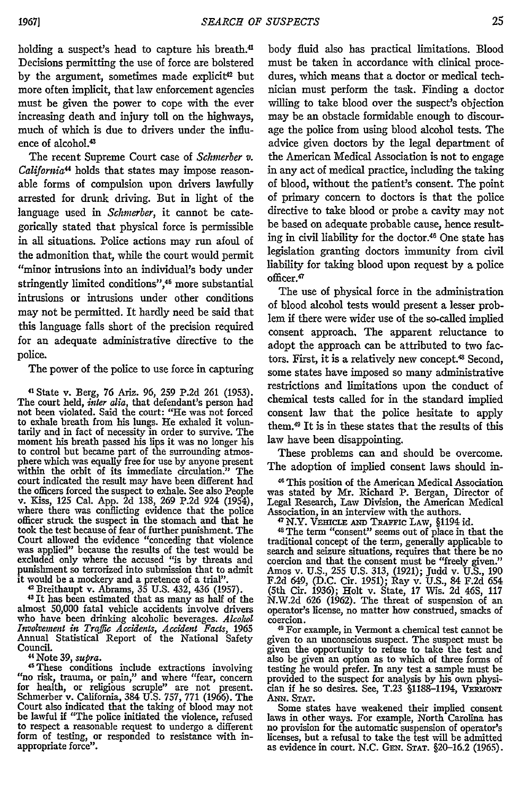*SEARCH OF SUSPECTS*

holding a suspect's head to capture his breath.<sup>41</sup> Decisions permitting the use of force are bolstered by the argument, sometimes made explicit<sup>42</sup> but more often implicit, that law enforcement agencies must be given the power to cope with the ever increasing death and injury toll on the highways, much of which is due to drivers under the influence of alcohol.<sup>43</sup>

The recent Supreme Court case of *Schnerber v. California"* holds that states may impose reasonable forms of compulsion upon drivers lawfully arrested for drunk driving. But in light of the language used in *Schmerber,* it cannot be categorically stated that physical force is permissible in all situations. Police actions may run afoul of the admonition that, while the court would permit "minor intrusions into an individual's body under stringently limited conditions", 45 more substantial intrusions or intrusions under other conditions may not be permitted. It hardly need be said that this language falls short of the precision required for an adequate administrative directive to the police.

The power of the police to use force in capturing

<sup>41</sup>State v. Berg, 76 Ariz. 96, 259 P.2d 261 (1953). The court held, *inter alia*, that defendant's person had<br>not been violated. Said the court: "He was not forced<br>to exhale breath from his lungs. He exhaled it voluntarily and in fact of necessity in order to survive. The moment his breath passed his lips it was no longer his to control but became part of the surrounding atmosphere which was equally free for use by anyone present within the orbit of its immediate circulation." The court indicated the result may have been different had the officers forced the suspect to exhale. See also People v. Kiss, 125 Cal. App. 2d 138, 269 P.2d 924 (1954), where there was conflicting evidence that the police officer struck the suspect in the stomach and that he took the test because of fear of further punishment. The Court allowed the evidence "conceding that violence was applied" because the results of the test would be excluded only where the accused "is by threats and punishment so terrorized into submission that to admit it would be a mockery and a pretence of a trial". 4 Breithaupt v. Abrams, 35 U.S. 432, 436 (1957).

 $43$  It has been estimated that as many as half of the almost 50,000 fatal vehicle accidents involve drivers who have been drinking alcoholic beverages. *Alcohwl Involvement in Traffic Accidents, Accident Facts,* 1965 Annual Statistical Report of the National Safety

Council.<br>
"Note 39, *supra*.<br>
"These conditions include extractions involving<br>
"on risk, trauma, or pain," and where "fear, concern<br>
for health, or religious scruple" are not present.<br>
Schmerber v. California, 384 U.S. 75 Court also indicated that the taking of blood may not be lawful **if** "The police initiated the violence, refused to respect a reasonable request to undergo a different form of testing, or responded to resistance with inappropriate force".

body fluid also has practical limitations. Blood must be taken in accordance with clinical procedures, which means that a doctor or medical technician must perform the task. Finding a doctor willing to take blood over the suspect's objection may be an obstacle formidable enough to discourage the police from using blood alcohol tests. The advice given doctors by the legal department of the American Medical Association is not to engage in any act of medical practice, including the taking of blood, without the patient's consent. The point of primary concern to doctors is that the police directive to take blood or probe a cavity may not be based on adequate probable cause, hence resulting in civil liability for the doctor.<sup>46</sup> One state has legislation granting doctors immunity from civil liability for taking blood upon request by a police officer.41

The use of physical force in the administration of blood alcohol tests would present a lesser problem if there were wider use of the so-called implied consent approach, The apparent reluctance to adopt the approach can be attributed to two factors. First, it is a relatively new concept.<sup>48</sup> Second, some states have imposed so many administrative restrictions and limitations upon the conduct of chemical tests called for in the standard implied consent law that the police hesitate to apply them.49 It is in these states that the results of this law have been disappointing.

These problems can and should be overcome. The adoption of implied consent laws should in-

46 This position of the American Medical Association was stated by Mr. Richard P. Bergan, Director of Legal Research, Law Division, the American Medical Association, in an interview with the authors. 47 N.Y. VEmcLE **AND** TRArFic LAW, §1194 id.

<sup>47</sup> N.Y. VEHICLE AND TRAFFIC LAW, §1194 id.<br><sup>48</sup> The term "consent" seems out of place in that the traditional concept of the term, generally applicable to search and seizure situations, requires that there be no coercion and that the consent must be "freely given." Amos v. U.S., 255 U.S. 313, (1921); Judd v. U.S., 190 F.2d 649, **(D.C.** Cir. 1951); Ray v. **U.S.,** 84 F.2d 654 (5th Cir. 1936); Holt v. State, 17 Wis. 2d 46S, 117 N.W.2d 626 (1962). The threat of suspension of an operator's license, no matter how construed, smacks of operator's license, no matter how construed, smacks of coercion.

**11** For example, in Vermont a chemical test cannot be given to an unconscious suspect. The suspect must be given the opportunity to refuse to take the test and also be given an option as to which of three forms of testing he would prefer. In any test a sample must be provided to the suspect for analysis by his own physi-<br>cian if he so desires. See, T.23 §1188-1194, VERMONT **ANN. STAT.**

Some states have weakened their implied consent laws in other ways. For example, North Carolina has<br>no provision for the automatic suspension of operator's<br>licenses, but a refusal to take the test will be admitted<br>as evidence in court. N.C. GEN. STAT. §20-16.2 (1965).